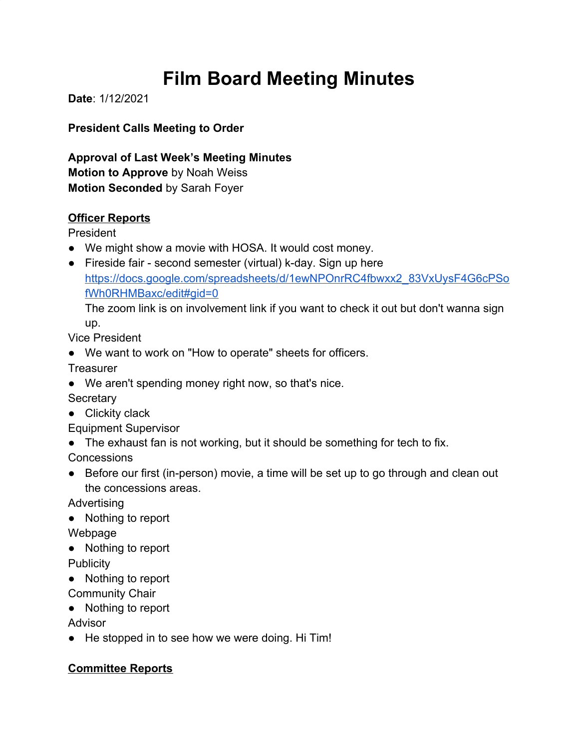# **Film Board Meeting Minutes**

**Date**: 1/12/2021

**President Calls Meeting to Order**

**Approval of Last Week's Meeting Minutes Motion to Approve** by Noah Weiss **Motion Seconded** by Sarah Foyer

### **Officer Reports**

President

- We might show a movie with HOSA. It would cost money.
- Fireside fair second semester (virtual) k-day. Sign up here [https://docs.google.com/spreadsheets/d/1ewNPOnrRC4fbwxx2\\_83VxUysF4G6cPSo](https://docs.google.com/spreadsheets/d/1ewNPOnrRC4fbwxx2_83VxUysF4G6cPSofWh0RHMBaxc/edit#gid=0) [fWh0RHMBaxc/edit#gid=0](https://docs.google.com/spreadsheets/d/1ewNPOnrRC4fbwxx2_83VxUysF4G6cPSofWh0RHMBaxc/edit#gid=0)

The zoom link is on involvement link if you want to check it out but don't wanna sign up.

Vice President

● We want to work on "How to operate" sheets for officers.

**Treasurer** 

● We aren't spending money right now, so that's nice.

**Secretary** 

● Clickity clack

Equipment Supervisor

• The exhaust fan is not working, but it should be something for tech to fix.

**Concessions** 

● Before our first (in-person) movie, a time will be set up to go through and clean out the concessions areas.

Advertising

● Nothing to report

Webpage

● Nothing to report

**Publicity** 

● Nothing to report

Community Chair

● Nothing to report

Advisor

● He stopped in to see how we were doing. Hi Tim!

## **Committee Reports**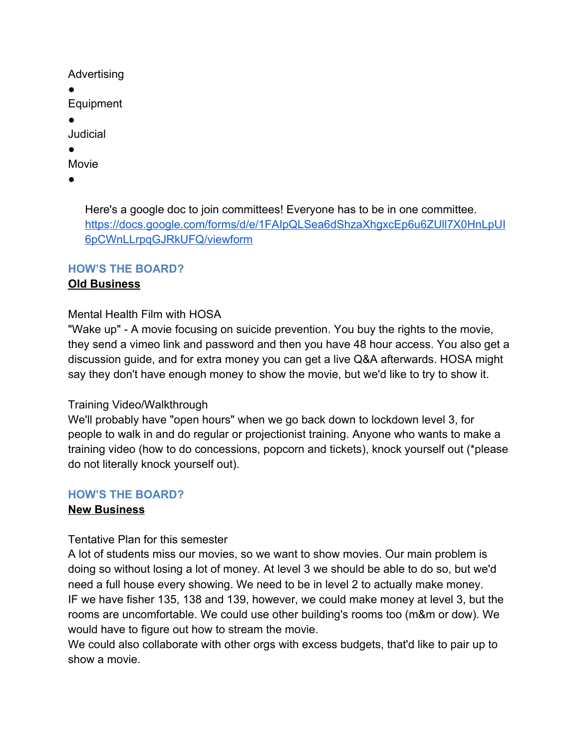Advertising

●

Equipment

●

Judicial

●

Movie

●

Here's a google doc to join committees! Everyone has to be in one committee. [https://docs.google.com/forms/d/e/1FAIpQLSea6dShzaXhgxcEp6u6ZUll7X0HnLpUI](https://docs.google.com/forms/d/e/1FAIpQLSea6dShzaXhgxcEp6u6ZUll7X0HnLpUI6pCWnLLrpqGJRkUFQ/viewform) [6pCWnLLrpqGJRkUFQ/viewform](https://docs.google.com/forms/d/e/1FAIpQLSea6dShzaXhgxcEp6u6ZUll7X0HnLpUI6pCWnLLrpqGJRkUFQ/viewform)

## **HOW'S THE BOARD?**

## **Old Business**

#### Mental Health Film with HOSA

"Wake up" - A movie focusing on suicide prevention. You buy the rights to the movie, they send a vimeo link and password and then you have 48 hour access. You also get a discussion guide, and for extra money you can get a live Q&A afterwards. HOSA might say they don't have enough money to show the movie, but we'd like to try to show it.

### Training Video/Walkthrough

We'll probably have "open hours" when we go back down to lockdown level 3, for people to walk in and do regular or projectionist training. Anyone who wants to make a training video (how to do concessions, popcorn and tickets), knock yourself out (\*please do not literally knock yourself out).

### **HOW'S THE BOARD?**

### **New Business**

#### Tentative Plan for this semester

A lot of students miss our movies, so we want to show movies. Our main problem is doing so without losing a lot of money. At level 3 we should be able to do so, but we'd need a full house every showing. We need to be in level 2 to actually make money. IF we have fisher 135, 138 and 139, however, we could make money at level 3, but the rooms are uncomfortable. We could use other building's rooms too (m&m or dow). We would have to figure out how to stream the movie.

We could also collaborate with other orgs with excess budgets, that'd like to pair up to show a movie.